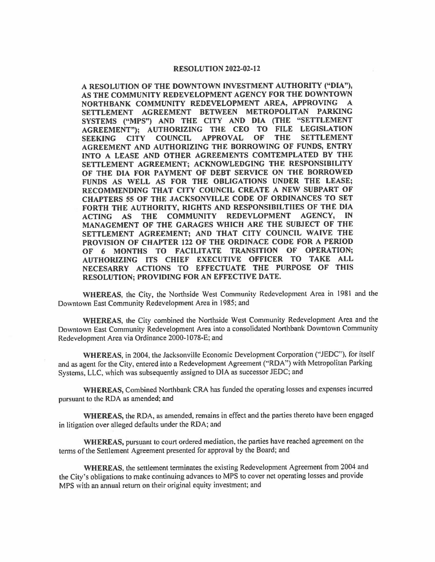## **RESOLUTION 2022-02-12**

**A RESOLUTION OF THE DOWNTOWN INVESTMENT AUTHORITY ("DIA"), AS THE COMMUNITY REDEVELOPMENT AGENCY FOR THE DOWNTOWN NORTHBANK COMMUNITY REDEVELOPMENT AREA, APPROVING SETTLEMENT AGREEMENT BETWEEN METROPOLITAN PARKING SYSTEMS ("MPS") AND THE CITY AND DIA (THE "SETTLEMENT AGREEMENT"); AUTHORIZING THE CEO TO FILE LEGISLATION SEEKING CITY COUNCIL APPROVAL OF THE SETTLEMENT AGREEMENT AND AUTHORIZING THE BORROWING OF FUNDS, ENTRY INTO A LEASE AND OTHER AGREEMENTS COMTEMPLATED BY THE SETTLEMENT AGREEMENT; ACKNOWLEDGING THE RESPONSIBILITY OF THE DIA FOR PAYMENT OF DEBT SERVICE ON THE BORROWED FUNDS AS WELL AS FOR THE OBLIGATIONS UNDER THE LEASE; RECOMMENDING THAT CITY COUNCIL CREATE A NEW SUBPART OF CHAPTERS 55 OF THE JACKSONVILLE CODE OF ORDINANCES TO SET FORTH THE AUTHORITY, RIGHTS AND RESPONSIBILTIIES OF THE DIA ACTING AS THE COMMUNITY REDEVLOPMENT AGENCY, IN MANAGEMENT OF THE GARAGES WHICH ARE THE SUBJECT OF THE SETTLEMENT AGREEMENT; AND THAT CITY COUNCIL WAIVE THE PROVISION OF CHAPTER 122 OF THE ORDINACE CODE FOR A PERIOD OF 6 MONTHS TO FACILITATE TRANSITION OF OPERATION; AUTHORIZING ITS CHIEF EXECUTIVE OFFICER TO TAKE ALL NECESARRY ACTIONS TO EFFECTUATE THE PURPOSE OF THIS RESOLUTION; PROVIDING FOR AN EFFECTIVE DATE.** 

**WHEREAS,** the City, the Northside West Community Redevelopment Area in 1981 and the Downtown East Community Redevelopment Area in 1985; and

**WHEREAS,** the City combined the Northside West Community Redevelopment Area and the Downtown East Community Redevelopment Area into a consolidated Northbank Downtown Community Redevelopment Area via Ordinance 2000-1078-E; and

**WHEREAS,** in 2004, the Jacksonville Economic Development Corporation (''JEDC"), for itself and as agent for the City, entered into a Redevelopment Agreement (''RDA") with Metropolitan Parking Systems, LLC, which was subsequently assigned to DIA as successor JEDC; and

**WHEREAS,** Combined Northbank CRA has funded the operating losses and expenses incurred pursuant to the RDA as amended; and

**WHEREAS,** the RDA, as amended, remains in effect and the parties thereto have been engaged in litigation over alleged defaults under the RDA; and

**WHEREAS,** pursuant to court ordered mediation, the parties have reached agreement on the terms of the Settlement Agreement presented for approval by the Board; and

**WHEREAS,** the settlement terminates the existing Redevelopment Agreement from 2004 and the City's obligations to make continuing advances to MPS to cover net operating losses and provide MPS with an annual return on their original equity investment; and